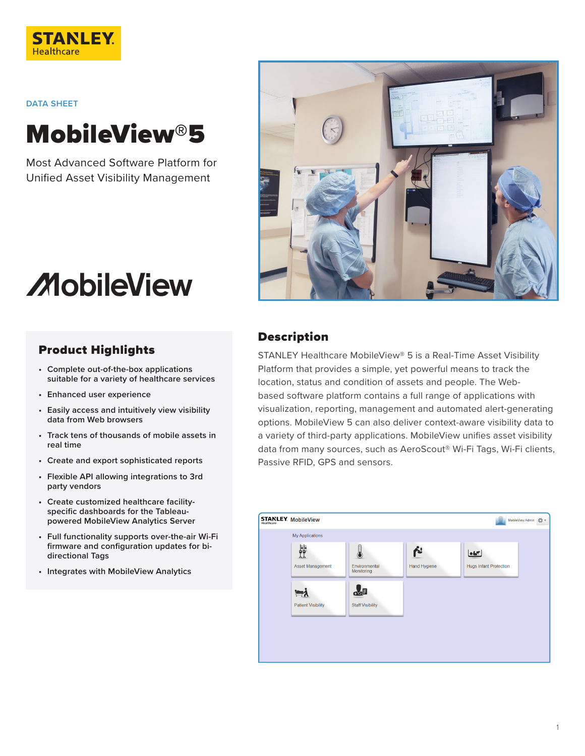

**DATA SHEET**

## MobileView®5

Most Advanced Software Platform for Unified Asset Visibility Management



# **MobileView**

## Product Highlights

- **• Complete out-of-the-box applications suitable for a variety of healthcare services**
- **• Enhanced user experience**
- **• Easily access and intuitively view visibility data from Web browsers**
- **• Track tens of thousands of mobile assets in real time**
- **• Create and export sophisticated reports**
- **• Flexible API allowing integrations to 3rd party vendors**
- **• Create customized healthcare facilityspecific dashboards for the Tableaupowered MobileView Analytics Server**
- **• Full functionality supports over-the-air Wi-Fi firmware and configuration updates for bidirectional Tags**
- **• Integrates with MobileView Analytics**

## Description

STANLEY Healthcare MobileView® 5 is a Real-Time Asset Visibility Platform that provides a simple, yet powerful means to track the location, status and condition of assets and people. The Webbased software platform contains a full range of applications with visualization, reporting, management and automated alert-generating options. MobileView 5 can also deliver context-aware visibility data to a variety of third-party applications. MobileView unifies asset visibility data from many sources, such as AeroScout® Wi-Fi Tags, Wi-Fi clients, Passive RFID, GPS and sensors.

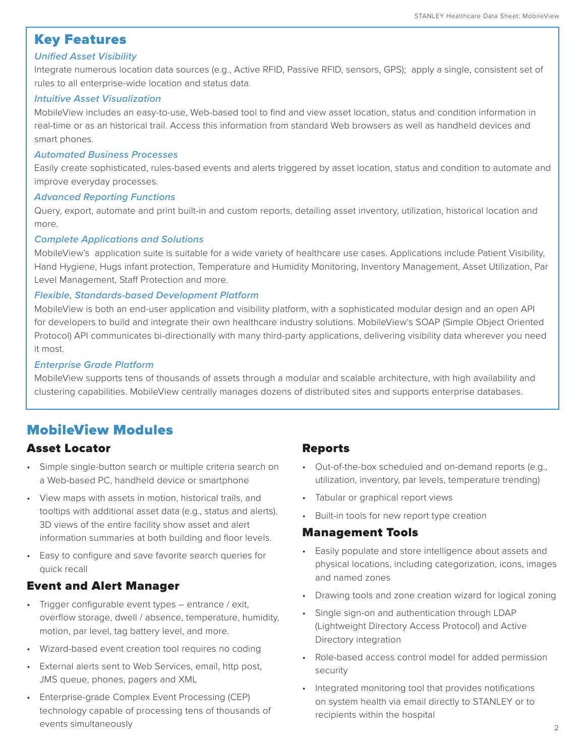## Key Features

#### *Unified Asset Visibility*

Integrate numerous location data sources (e.g., Active RFID, Passive RFID, sensors, GPS); apply a single, consistent set of rules to all enterprise-wide location and status data.

#### *Intuitive Asset Visualization*

MobileView includes an easy-to-use, Web-based tool to find and view asset location, status and condition information in real-time or as an historical trail. Access this information from standard Web browsers as well as handheld devices and smart phones.

#### *Automated Business Processes*

Easily create sophisticated, rules-based events and alerts triggered by asset location, status and condition to automate and improve everyday processes.

#### *Advanced Reporting Functions*

Query, export, automate and print built-in and custom reports, detailing asset inventory, utilization, historical location and more.

#### *Complete Applications and Solutions*

MobileView's application suite is suitable for a wide variety of healthcare use cases. Applications include Patient Visibility, Hand Hygiene, Hugs infant protection, Temperature and Humidity Monitoring, Inventory Management, Asset Utilization, Par Level Management, Staff Protection and more.

#### *Flexible, Standards-based Development Platform*

MobileView is both an end-user application and visibility platform, with a sophisticated modular design and an open API for developers to build and integrate their own healthcare industry solutions. MobileView's SOAP (Simple Object Oriented Protocol) API communicates bi-directionally with many third-party applications, delivering visibility data wherever you need it most.

#### *Enterprise Grade Platform*

MobileView supports tens of thousands of assets through a modular and scalable architecture, with high availability and clustering capabilities. MobileView centrally manages dozens of distributed sites and supports enterprise databases.

## MobileView Modules

## Asset Locator

- Simple single-button search or multiple criteria search on a Web-based PC, handheld device or smartphone
- View maps with assets in motion, historical trails, and tooltips with additional asset data (e.g., status and alerts). 3D views of the entire facility show asset and alert information summaries at both building and floor levels.
- Easy to configure and save favorite search queries for quick recall

## Event and Alert Manager

- Trigger configurable event types entrance / exit, overflow storage, dwell / absence, temperature, humidity, motion, par level, tag battery level, and more.
- Wizard-based event creation tool requires no coding
- External alerts sent to Web Services, email, http post, JMS queue, phones, pagers and XML
- Enterprise-grade Complex Event Processing (CEP) technology capable of processing tens of thousands of events simultaneously

## Reports

- Out-of-the-box scheduled and on-demand reports (e.g., utilization, inventory, par levels, temperature trending)
- Tabular or graphical report views
- Built-in tools for new report type creation

#### Management Tools

- Easily populate and store intelligence about assets and physical locations, including categorization, icons, images and named zones
- Drawing tools and zone creation wizard for logical zoning
- Single sign-on and authentication through LDAP (Lightweight Directory Access Protocol) and Active Directory integration
- Role-based access control model for added permission security
- Integrated monitoring tool that provides notifications on system health via email directly to STANLEY or to recipients within the hospital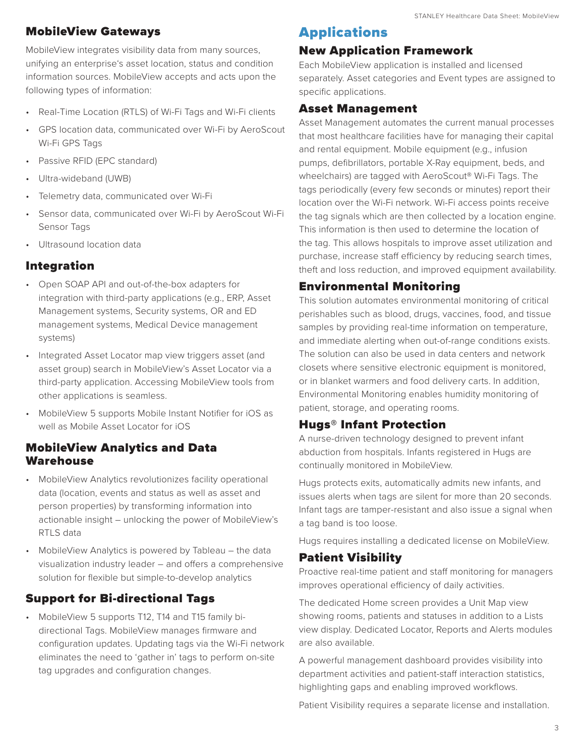## MobileView Gateways

MobileView integrates visibility data from many sources, unifying an enterprise's asset location, status and condition information sources. MobileView accepts and acts upon the following types of information:

- Real-Time Location (RTLS) of Wi-Fi Tags and Wi-Fi clients
- GPS location data, communicated over Wi-Fi by AeroScout Wi-Fi GPS Tags
- Passive RFID (EPC standard)
- Ultra-wideband (UWB)
- Telemetry data, communicated over Wi-Fi
- Sensor data, communicated over Wi-Fi by AeroScout Wi-Fi Sensor Tags
- Ultrasound location data

## Integration

- Open SOAP API and out-of-the-box adapters for integration with third-party applications (e.g., ERP, Asset Management systems, Security systems, OR and ED management systems, Medical Device management systems)
- Integrated Asset Locator map view triggers asset (and asset group) search in MobileView's Asset Locator via a third-party application. Accessing MobileView tools from other applications is seamless.
- MobileView 5 supports Mobile Instant Notifier for iOS as well as Mobile Asset Locator for iOS

## MobileView Analytics and Data Warehouse

- MobileView Analytics revolutionizes facility operational data (location, events and status as well as asset and person properties) by transforming information into actionable insight – unlocking the power of MobileView's RTLS data
- MobileView Analytics is powered by Tableau the data visualization industry leader – and offers a comprehensive solution for flexible but simple-to-develop analytics

## Support for Bi-directional Tags

• MobileView 5 supports T12, T14 and T15 family bidirectional Tags. MobileView manages firmware and configuration updates. Updating tags via the Wi-Fi network eliminates the need to 'gather in' tags to perform on-site tag upgrades and configuration changes.

## Applications

## New Application Framework

Each MobileView application is installed and licensed separately. Asset categories and Event types are assigned to specific applications.

## Asset Management

Asset Management automates the current manual processes that most healthcare facilities have for managing their capital and rental equipment. Mobile equipment (e.g., infusion pumps, defibrillators, portable X-Ray equipment, beds, and wheelchairs) are tagged with AeroScout® Wi-Fi Tags. The tags periodically (every few seconds or minutes) report their location over the Wi-Fi network. Wi-Fi access points receive the tag signals which are then collected by a location engine. This information is then used to determine the location of the tag. This allows hospitals to improve asset utilization and purchase, increase staff efficiency by reducing search times, theft and loss reduction, and improved equipment availability.

## Environmental Monitoring

This solution automates environmental monitoring of critical perishables such as blood, drugs, vaccines, food, and tissue samples by providing real-time information on temperature, and immediate alerting when out-of-range conditions exists. The solution can also be used in data centers and network closets where sensitive electronic equipment is monitored, or in blanket warmers and food delivery carts. In addition, Environmental Monitoring enables humidity monitoring of patient, storage, and operating rooms.

## Hugs® Infant Protection

A nurse-driven technology designed to prevent infant abduction from hospitals. Infants registered in Hugs are continually monitored in MobileView.

Hugs protects exits, automatically admits new infants, and issues alerts when tags are silent for more than 20 seconds. Infant tags are tamper-resistant and also issue a signal when a tag band is too loose.

Hugs requires installing a dedicated license on MobileView.

## Patient Visibility

Proactive real-time patient and staff monitoring for managers improves operational efficiency of daily activities.

The dedicated Home screen provides a Unit Map view showing rooms, patients and statuses in addition to a Lists view display. Dedicated Locator, Reports and Alerts modules are also available.

A powerful management dashboard provides visibility into department activities and patient-staff interaction statistics, highlighting gaps and enabling improved workflows.

Patient Visibility requires a separate license and installation.